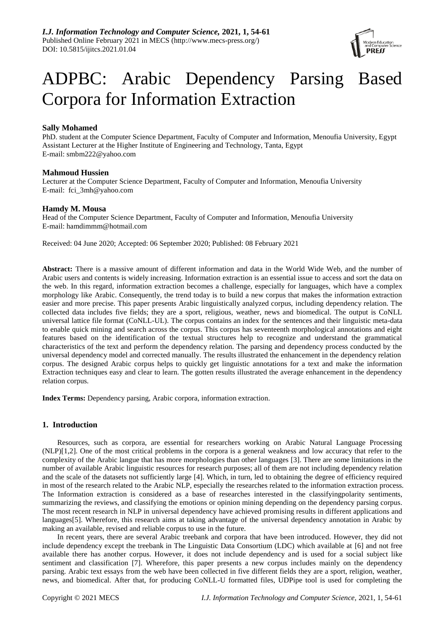

# ADPBC: Arabic Dependency Parsing Based Corpora for Information Extraction

## **Sally Mohamed**

PhD. student at the Computer Science Department, Faculty of Computer and Information, Menoufia University, Egypt Assistant Lecturer at the Higher Institute of Engineering and Technology, Tanta, Egypt E-mail: [smbm222@yahoo.com](mailto:smbm222@yahoo.com)

## **Mahmoud Hussien**

Lecturer at the Computer Science Department, Faculty of Computer and Information, Menoufia University E-mail: fci\_3mh@yahoo.com

## **Hamdy M. Mousa**

Head of the Computer Science Department, Faculty of Computer and Information, Menoufia University E-mail: hamdimmm@hotmail.com

Received: 04 June 2020; Accepted: 06 September 2020; Published: 08 February 2021

**Abstract:** There is a massive amount of different information and data in the World Wide Web, and the number of Arabic users and contents is widely increasing. Information extraction is an essential issue to access and sort the data on the web. In this regard, information extraction becomes a challenge, especially for languages, which have a complex morphology like Arabic. Consequently, the trend today is to build a new corpus that makes the information extraction easier and more precise. This paper presents Arabic linguistically analyzed corpus, including dependency relation. The collected data includes five fields; they are a sport, religious, weather, news and biomedical. The output is CoNLL universal lattice file format (CoNLL-UL). The corpus contains an index for the sentences and their linguistic meta-data to enable quick mining and search across the corpus. This corpus has seventeenth morphological annotations and eight features based on the identification of the textual structures help to recognize and understand the grammatical characteristics of the text and perform the dependency relation. The parsing and dependency process conducted by the universal dependency model and corrected manually. The results illustrated the enhancement in the dependency relation corpus. The designed Arabic corpus helps to quickly get linguistic annotations for a text and make the information Extraction techniques easy and clear to learn. The gotten results illustrated the average enhancement in the dependency relation corpus.

**Index Terms:** Dependency parsing, Arabic corpora, information extraction.

## **1. Introduction**

Resources, such as corpora, are essential for researchers working on Arabic Natural Language Processing (NLP)[1,2]. One of the most critical problems in the corpora is a general weakness and low accuracy that refer to the complexity of the Arabic langue that has more morphologies than other languages [3]. There are some limitations in the number of available Arabic linguistic resources for research purposes; all of them are not including dependency relation and the scale of the datasets not sufficiently large [4]. Which, in turn, led to obtaining the degree of efficiency required in most of the research related to the Arabic NLP, especially the researches related to the information extraction process. The Information extraction is considered as a base of researches interested in the classifyingpolarity sentiments, summarizing the reviews, and classifying the emotions or opinion mining depending on the dependency parsing corpus. The most recent research in NLP in universal dependency have achieved promising results in different applications and languages[5]. Wherefore, this research aims at taking advantage of the universal dependency annotation in Arabic by making an available, revised and reliable corpus to use in the future.

In recent years, there are several Arabic treebank and corpora that have been introduced. However, they did not include dependency except the treebank in The Linguistic Data Consortium (LDC) which available at [6] and not free available there has another corpus. However, it does not include dependency and is used for a social subject like sentiment and classification [7]. Wherefore, this paper presents a new corpus includes mainly on the dependency parsing. Arabic text essays from the web have been collected in five different fields they are a sport, religion, weather, news, and biomedical. After that, for producing CoNLL-U formatted files, UDPipe tool is used for completing the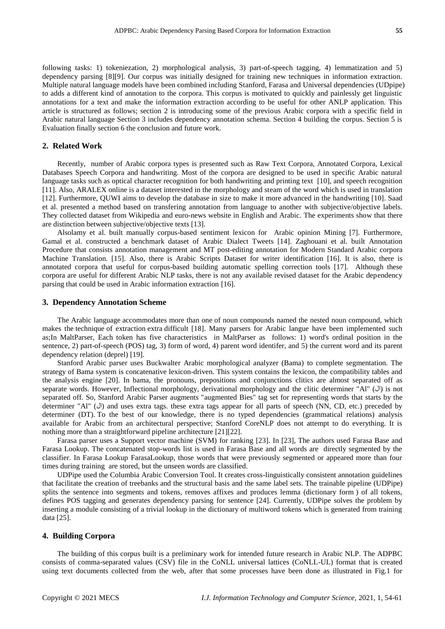following tasks: 1) tokeniezation, 2) morphological analysis, 3) part-of-speech tagging, 4) lemmatization and 5) dependency parsing [8][9]. Our corpus was initially designed for training new techniques in information extraction. Multiple natural language models have been combined including Stanford, Farasa and Universal dependencies (UDpipe) to adds a different kind of annotation to the corpora. This corpus is motivated to quickly and painlessly get linguistic annotations for a text and make the information extraction according to be useful for other ANLP application. This article is structured as follows; section 2 is introducing some of the previous Arabic corpora with a specific field in Arabic natural language Section 3 includes dependency annotation schema. Section 4 building the corpus. Section 5 is Evaluation finally section 6 the conclusion and future work.

## **2. Related Work**

Recently, number of Arabic corpora types is presented such as Raw Text Corpora, Annotated Corpora, Lexical Databases Speech Corpora and handwriting. Most of the corpora are designed to be used in specific Arabic natural language tasks such as optical character recognition for both handwriting and printing text [10], and speech recognition [11]. Also, ARALEX online is a dataset interested in the morphology and steam of the word which is used in translation [12]. Furthermore, QUWI aims to develop the database in size to make it more advanced in the handwriting [10]. Saad et al. presented a method based on transfering annotation from language to another with subjective/objective labels. They collected dataset from Wikipedia and euro-news website in English and Arabic. The experiments show that there are distinction between subjective/objective texts [13].

Alsolamy et al. built manually corpus-based sentiment lexicon for Arabic opinion Mining [7]. Furthermore, Gamal et al. constructed a benchmark dataset of Arabic Dialect Tweets [14]. Zaghouani et al. built Annotation Procedure that consists annotation management and MT post-editing annotation for Modern Standard Arabic corpora Machine Translation. [15]. Also, there is Arabic Scripts Dataset for writer identification [16]. It is also, there is annotated corpora that useful for corpus-based building automatic spelling correction tools [17]. Although these corpora are useful for different Arabic NLP tasks, there is not any available revised dataset for the Arabic dependency parsing that could be used in Arabic information extraction [16].

#### **3. Dependency Annotation Scheme**

The Arabic language accommodates more than one of noun compounds named the nested noun compound, which makes the technique of extraction extra difficult [18]. Many parsers for Arabic langue have been implemented such as;In MaltParser, Each token has five characteristics in MaltParser as follows: 1) word's ordinal position in the sentence, 2) part-of-speech (POS) tag, 3) form of word, 4) parent word identifer, and 5) the current word and its parent dependency relation (deprel) [19].

Stanford Arabic parser uses Buckwalter Arabic morphological analyzer (Bama) to complete segmentation. The strategy of Bama system is concatenative lexicon-driven. This system contains the lexicon, the compatibility tables and the analysis engine [20]. In bama, the pronouns, prepositions and conjunctions clitics are almost separated off as separate words. However, Inflectional morphology, derivational morphology and the clitic determiner "Al" ( $\cup$ ) is not separated off. So, Stanford Arabic Parser augments "augmented Bies" tag set for representing words that starts by the determiner "Al" ( $\langle \mathsf{I} \rangle$ ) and uses extra tags. these extra tags appear for all parts of speech (NN, CD, etc.) preceded by determiner (DT). To the best of our knowledge, there is no typed dependencies (grammatical relations) analysis available for Arabic from an architectural perspective; Stanford CoreNLP does not attempt to do everything. It is nothing more than a straightforward pipeline architecture [21][22].

Farasa parser uses a Support vector machine (SVM) for ranking [23]. In [23], The authors used Farasa Base and Farasa Lookup. The concatenated stop-words list is used in Farasa Base and all words are directly segmented by the classifier. In Farasa Lookup FarasaLookup, those words that were previously segmented or appeared more than four times during training are stored, but the unseen words are classified.

UDPipe used the Columbia Arabic Conversion Tool. It creates cross-linguistically consistent annotation guidelines that facilitate the creation of treebanks and the structural basis and the same label sets. The trainable pipeline (UDPipe) splits the sentence into segments and tokens, removes affixes and produces lemma (dictionary form ) of all tokens, defines POS tagging and generates dependency parsing for sentence [24]. Currently, UDPipe solves the problem by inserting a module consisting of a trivial lookup in the dictionary of multiword tokens which is generated from training data [25].

## **4. Building Corpora**

The building of this corpus built is a [preliminary](http://jack16ivc.blogspot.com/2013/02/priminaly-task.html) work for intended future research in Arabic NLP. The ADPBC consists of comma-separated values (CSV) file in the CoNLL universal lattices (CoNLL-UL) format that is created using text documents collected from the web, after that some processes have been done as illustrated in Fig.1 for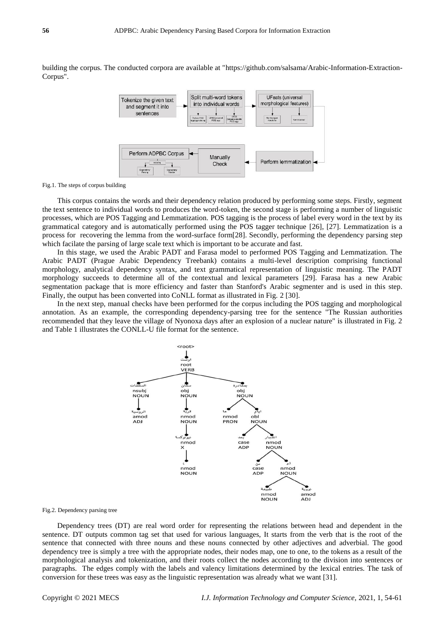building the corpus. The conducted corpora are available at ["https://github.com/salsama/Arabic-Information-Extraction-](https://github.com/salsama/Arabic-Information-Extraction-Corpus)[Corpus"](https://github.com/salsama/Arabic-Information-Extraction-Corpus).



Fig.1. The steps of corpus building

This corpus contains the words and their dependency relation produced by performing some steps. Firstly, segment the text sentence to individual words to produces the word-token, the second stage is performing a number of linguistic processes, which are POS Tagging and Lemmatization. POS tagging is the process of label every word in the text by its grammatical category and is automatically performed using the POS tagger technique [26], [27]. Lemmatization is a process for recovering the lemma from the word-surface form[28]. Secondly, performing the dependency parsing step which facilate the parsing of large scale text which is important to be accurate and fast.

In this stage, we used the Arabic PADT and Farasa model to performed POS Tagging and Lemmatization. The Arabic PADT (Prague Arabic Dependency Treebank) contains a multi-level description comprising functional morphology, analytical dependency syntax, and text grammatical representation of linguistic meaning. The PADT morphology succeeds to determine all of the contextual and lexical parameters [29]. Farasa has a new Arabic segmentation package that is more efficiency and faster than Stanford's Arabic segmenter and is used in this step. Finally, the output has been converted into CoNLL format as illustrated in Fig. 2 [30].

In the next step, manual checks have been performed for the corpus including the POS tagging and morphological annotation. As an example, the corresponding dependency-parsing tree for the sentence "The Russian authorities recommended that they leave the village of Nyonoxa days after an explosion of a nuclear nature" is illustrated in Fig. 2 and Table 1 illustrates the CONLL-U file format for the sentence.



Fig.2. Dependency parsing tree

Dependency trees (DT) are real word order for representing the relations between head and dependent in the sentence. DT outputs common tag set that used for various languages, It starts from the verb that is the root of the sentence that connected with three nouns and these nouns connected by other adjectives and adverbial. The good dependency tree is simply a tree with the appropriate nodes, their nodes map, one to one, to the tokens as a result of the morphological analysis and tokenization, and their roots collect the nodes according to the division into sentences or paragraphs. The edges comply with the labels and valency limitations determined by the lexical entries. The task of conversion for these trees was easy as the linguistic representation was already what we want [31].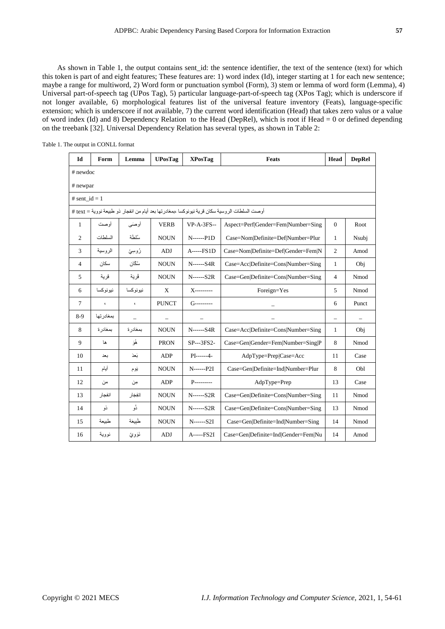As shown in Table 1, the output contains sent\_id: the sentence identifier, the text of the sentence (text) for which this token is part of and eight features; These features are: 1) word index (Id), integer starting at 1 for each new sentence; maybe a range for multiword, 2) Word form or punctuation symbol (Form), 3) stem or lemma of word form (Lemma), 4) Universal part-of-speech tag (UPos Tag), 5) particular language-part-of-speech tag (XPos Tag); which is underscore if not longer available, 6) morphological features list of the universal feature inventory (Feats), language-specific extension; which is underscore if not available, 7) the current word identification (Head) that takes zero valus or a value of word index (Id) and 8) Dependency Relation to the Head (DepRel), which is root if Head  $= 0$  or defined depending on the treebank [32]. Universal Dependency Relation has several types, as shown in Table 2:

| Id                                                                                            | Form          | Lemma                                                                     | <b>UPosTag</b> | <b>XPosTag</b>   | <b>Feats</b>                        | Head             | <b>DepRel</b> |  |  |  |  |  |  |
|-----------------------------------------------------------------------------------------------|---------------|---------------------------------------------------------------------------|----------------|------------------|-------------------------------------|------------------|---------------|--|--|--|--|--|--|
| # newdoc                                                                                      |               |                                                                           |                |                  |                                     |                  |               |  |  |  |  |  |  |
| # newpar                                                                                      |               |                                                                           |                |                  |                                     |                  |               |  |  |  |  |  |  |
| # sent $id = 1$                                                                               |               |                                                                           |                |                  |                                     |                  |               |  |  |  |  |  |  |
| أوصت السلطات الروسية سكان قرية نيونوكسا ،بمغادرتها بعد أيام من انفجار ذو طبيعة نووية = text # |               |                                                                           |                |                  |                                     |                  |               |  |  |  |  |  |  |
| 1                                                                                             | أوصت          | أوصني<br>$VP-A-3FS-$<br>Aspect=Perf Gender=Fem Number=Sing<br><b>VERB</b> |                |                  |                                     | $\boldsymbol{0}$ | Root          |  |  |  |  |  |  |
| 2                                                                                             | السلطات       | سُلطَة                                                                    | <b>NOUN</b>    | $N$ ------ $P1D$ | Case=Nom Definite=Def Number=Plur   | $\mathbf{1}$     | Nsubj         |  |  |  |  |  |  |
| 3                                                                                             | الروسية       | رُوسِيِّ                                                                  | <b>ADJ</b>     | A-----FS1D       | Case=Nom Definite=Def Gender=Fem N  | $\overline{2}$   | Amod          |  |  |  |  |  |  |
| 4                                                                                             | سكان          | سُكَّان                                                                   | <b>NOUN</b>    | N------S4R       | Case=Acc Definite=Cons Number=Sing  | 1                | Obj           |  |  |  |  |  |  |
| 5                                                                                             | قر ية         | قُر يَة                                                                   | <b>NOUN</b>    | $N$ ------ $S2R$ | Case=Gen Definite=Cons Number=Sing  | $\overline{4}$   | Nmod          |  |  |  |  |  |  |
| 6                                                                                             | نيونوكسا      | نيو نو كسا                                                                | X              | X----------      | Foreign=Yes                         | 5                | Nmod          |  |  |  |  |  |  |
| 7                                                                                             | $\pmb{\zeta}$ | $\pmb{\zeta}$                                                             | <b>PUNCT</b>   | $G$ ----------   |                                     | 6                | Punct         |  |  |  |  |  |  |
| 8-9                                                                                           | بمغادر تها    |                                                                           |                |                  |                                     | -                |               |  |  |  |  |  |  |
| 8                                                                                             | بمغادر ة      | بمغادر ة                                                                  | <b>NOUN</b>    | N------S4R       | Case=Acc Definite=Cons Number=Sing  | $\mathbf{1}$     | Obj           |  |  |  |  |  |  |
| 9                                                                                             | ها            | ۿؘۅؘ                                                                      | <b>PRON</b>    | SP---3FS2-       | Case=Gen Gender=Fem Number=Sing P   | 8                | Nmod          |  |  |  |  |  |  |
| 10                                                                                            | ىعد           | نَعدَ                                                                     | <b>ADP</b>     | $PI$ ------4-    | AdpType=Prep Case=Acc               | 11               | Case          |  |  |  |  |  |  |
| 11                                                                                            | أيام          | يَوم                                                                      | <b>NOUN</b>    | $N$ ------ $P2I$ | Case=Gen Definite=Ind Number=Plur   | 8                | Obl           |  |  |  |  |  |  |
| 12                                                                                            | من            | مِن                                                                       | ADP            | P----------      | AdpType=Prep                        | 13               | Case          |  |  |  |  |  |  |
| 13                                                                                            | انفجار        | إنفِجَار                                                                  | <b>NOUN</b>    | $N$ ------ $S2R$ | Case=Gen Definite=Cons Number=Sing  | 11               | Nmod          |  |  |  |  |  |  |
| 14                                                                                            | نو            | نُو                                                                       | <b>NOUN</b>    | $N$ ------ $S2R$ | Case=Gen Definite=Cons Number=Sing  | 13               | Nmod          |  |  |  |  |  |  |
| 15                                                                                            | طبيعة         | طبيعة                                                                     | <b>NOUN</b>    | $N$ ------ $S2I$ | Case=Gen Definite=Ind Number=Sing   | 14               | Nmod          |  |  |  |  |  |  |
| 16                                                                                            | نووية         | نَوَوِيِّ                                                                 | <b>ADJ</b>     | A-----FS2I       | Case=Gen Definite=Ind Gender=Fem Nu | 14               | Amod          |  |  |  |  |  |  |

Table 1. The output in CONLL format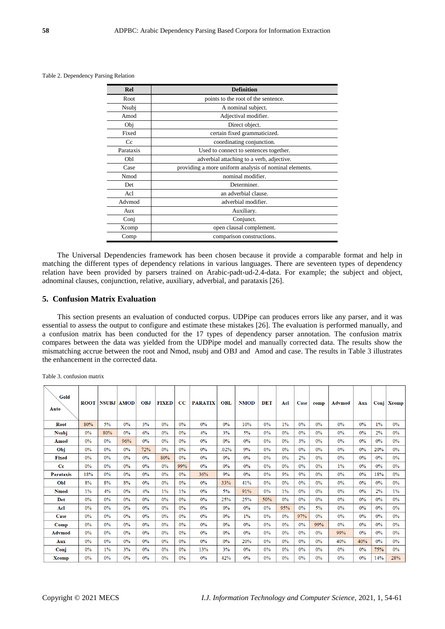| Rel       | Definition                                             |
|-----------|--------------------------------------------------------|
| Root      | points to the root of the sentence.                    |
| Nsubj     | A nominal subject.                                     |
| Amod      | Adjectival modifier.                                   |
| Obj       | Direct object.                                         |
| Fixed     | certain fixed grammaticized.                           |
| Cc        | coordinating conjunction.                              |
| Parataxis | Used to connect to sentences together.                 |
| Obl       | adverbial attaching to a verb, adjective.              |
| Case      | providing a more uniform analysis of nominal elements. |
| Nmod      | nominal modifier.                                      |
| Det       | Determiner.                                            |
| Acl       | an adverbial clause.                                   |
| Advmod    | adverbial modifier.                                    |
| Aux       | Auxiliary.                                             |
| Conj      | Conjunct.                                              |
| Xcomp     | open clausal complement.                               |
| Comp      | comparison constructions.                              |

Table 2. Dependency Parsing Relation

The Universal Dependencies framework has been chosen because it provide a comparable format and help in matching the different types of dependency relations in various languages. There are seventeen types of dependency relation have been provided by parsers trained on Arabic-padt-ud-2.4-data. For example; the subject and object, adnominal clauses, conjunction, relative, auxiliary, adverbial, and parataxis [26].

## **5. Confusion Matrix Evaluation**

This section presents an evaluation of conducted corpus. UDPipe can produces errors like any parser, and it was essential to assess the output to configure and estimate these mistakes [26]. The evaluation is performed manually, and a confusion matrix has been conducted for the 17 types of dependency parser annotation. The confusion matrix compares between the data was yielded from the UDPipe model and manually corrected data. The results show the mismatching accrue between the root and Nmod, nsubj and OBJ and Amod and case. The results in Table 3 illustrates the enhancement in the corrected data.

| Gold<br>Auto     |       | <b>ROOT NSUBJ</b> | <b>AMOD</b> | <b>OBJ</b> | <b>FIXED</b> | $_{\rm CC}$ | <b>PARATIX</b> | <b>OBL</b> | <b>NMOD</b> | <b>DET</b> | Acl   | Case | comp  | Advmod | Aux | Conj  | Xcomp |
|------------------|-------|-------------------|-------------|------------|--------------|-------------|----------------|------------|-------------|------------|-------|------|-------|--------|-----|-------|-------|
| Root             | 80%   | 5%                | 0%          | 3%         | 0%           | 0%          | 0%             | 0%         | 10%         | 0%         | 1%    | 0%   | 0%    | 0%     | 0%  | $1\%$ | $0\%$ |
| <b>Nsubj</b>     | 0%    | 80%               | 0%          | 6%         | 0%           | 0%          | 4%             | 3%         | 5%          | 0%         | 0%    | 0%   | 0%    | 0%     | 0%  | 2%    | 0%    |
| Amod             | 0%    | 0%                | 96%         | 0%         | 0%           | 0%          | $0\%$          | 0%         | 0%          | 0%         | 0%    | 3%   | 0%    | 0%     | 0%  | 0%    | $0\%$ |
| Obj              | $0\%$ | 0%                | $0\%$       | 72%        | 0%           | 0%          | 0%             | .02%       | 9%          | 0%         | 0%    | 0%   | 0%    | 0%     | 0%  | 20%   | $0\%$ |
| Fixed            | 0%    | 0%                | 0%          | 0%         | 80%          | 0%          | 0%             | 0%         | 0%          | 0%         | 0%    | 2%   | 0%    | 0%     | 0%  | 0%    | $0\%$ |
| $_{\rm{c}}$      | 0%    | 0%                | 0%          | 0%         | 0%           | 99%         | 0%             | 0%         | 0%          | 0%         | 0%    | 0%   | 0%    | 1%     | 0%  | 0%    | 0%    |
| <b>Parataxis</b> | 18%   | $0\%$             | 0%          | 0%         | 0%           | 0%          | 36%            | 9%         | 0%          | 0%         | 9%    | 9%   | 0%    | 0%     | 0%  | 18%   | 0%    |
| Obl              | 8%    | 8%                | 8%          | 0%         | 0%           | 0%          | $0\%$          | 33%        | 41%         | $0\%$      | 0%    | 0%   | $0\%$ | 0%     | 0%  | $0\%$ | $0\%$ |
| <b>Nmod</b>      | $1\%$ | 4%                | 0%          | 4%         | 1%           | 1%          | 0%             | 5%         | 91%         | 0%         | $1\%$ | 0%   | 0%    | 0%     | 0%  | 2%    | 1%    |
| Det              | 0%    | 0%                | 0%          | 0%         | 0%           | 0%          | 0%             | 25%        | 25%         | 50%        | 0%    | 0%   | 0%    | 0%     | 0%  | 0%    | $0\%$ |
| Acl              | 0%    | 0%                | 0%          | 0%         | 0%           | 0%          | 0%             | 0%         | 0%          | 0%         | 95%   | 0%   | 5%    | 0%     | 0%  | 0%    | 0%    |
| Case             | $0\%$ | 0%                | 0%          | 0%         | $0\%$        | 0%          | $0\%$          | 0%         | $1\%$       | $0\%$      | 0%    | 97%  | 0%    | 0%     | 0%  | $0\%$ | $0\%$ |
| Comp             | 0%    | 0%                | 0%          | 0%         | 0%           | 0%          | 0%             | 0%         | 0%          | 0%         | 0%    | 0%   | 99%   | 0%     | 0%  | 0%    | 0%    |
| <b>Advmod</b>    | 0%    | 0%                | $0\%$       | 0%         | 0%           | 0%          | 0%             | 0%         | 0%          | 0%         | 0%    | 0%   | 0%    | 99%    | 0%  | 0%    | $0\%$ |
| Aux              | 0%    | 0%                | 0%          | 0%         | 0%           | 0%          | 0%             | 0%         | 20%         | 0%         | 0%    | 0%   | 0%    | 40%    | 40% | 0%    | 0%    |
| Conj             | 0%    | $1\%$             | 3%          | 0%         | 0%           | 0%          | 13%            | 3%         | 0%          | 0%         | 0%    | 0%   | 0%    | 0%     | 0%  | 75%   | $0\%$ |
| <b>Xcomp</b>     | $0\%$ | 0%                | 0%          | 0%         | 0%           | $0\%$       | 0%             | 42%        | 0%          | 0%         | 0%    | 0%   | 0%    | 0%     | 0%  | 14%   | 28%   |

Table 3. confusion matrix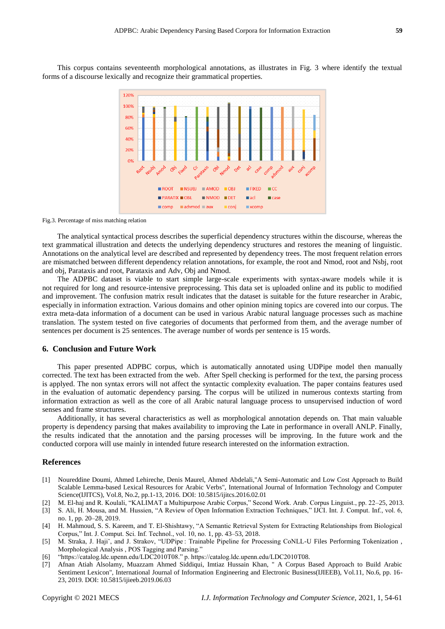This corpus contains seventeenth morphological annotations, as illustrates in Fig. 3 where identify the textual forms of a discourse lexically and recognize their grammatical properties.



Fig.3. Percentage of miss matching relation

The analytical syntactical process describes the superficial dependency structures within the discourse, whereas the text grammatical illustration and detects the underlying dependency structures and restores the meaning of linguistic. Annotations on the analytical level are described and represented by dependency trees. The most frequent relation errors are mismatched between different dependency relation annotations, for example, the root and Nmod, root and Nsbj, root and obj, Parataxis and root, Parataxis and Adv, Obj and Nmod.

The ADPBC dataset is viable to start simple large-scale experiments with syntax-aware models while it is not required for long and resource-intensive preprocessing. This data set is uploaded online and its public to modified and improvement. The confusion matrix result indicates that the dataset is suitable for the future researcher in Arabic, especially in information extraction. Various domains and other opinion mining topics are covered into our corpus. The extra meta-data information of a document can be used in various Arabic natural language processes such as machine translation. The system tested on five categories of documents that performed from them, and the average number of sentences per document is 25 sentences. The average number of words per sentence is 15 words.

### **6. Conclusion and Future Work**

This paper presented ADPBC corpus, which is automatically annotated using UDPipe model then manually corrected. The text has been extracted from the web. After Spell checking is performed for the text, the parsing process is applyed. The non syntax errors will not affect the syntactic complexity evaluation. The paper contains features used in the evaluation of automatic dependency parsing. The corpus will be utilized in numerous contexts starting from information extraction as well as the core of all Arabic natural language process to unsupervised induction of word senses and frame structures.

Additionally, it has several characteristics as well as morphological annotation depends on. That main valuable property is dependency parsing that makes availability to improving the Late in performance in overall ANLP. Finally, the results indicated that the annotation and the parsing processes will be improving. In the future work and the conducted corpora will use mainly in intended future research interested on the information extraction.

## **References**

- [1] Noureddine Doumi, Ahmed Lehireche, Denis Maurel, Ahmed Abdelali,"A Semi-Automatic and Low Cost Approach to Build Scalable Lemma-based Lexical Resources for Arabic Verbs", International Journal of Information Technology and Computer Science(IJITCS), Vol.8, No.2, pp.1-13, 2016. DOI: 10.5815/ijitcs.2016.02.01
- [2] M. El-haj and R. Koulali, "KALIMAT a Multipurpose Arabic Corpus," Second Work. Arab. Corpus Linguist., pp. 22–25, 2013.
- [3] S. Ali, H. Mousa, and M. Hussien, "A Review of Open Information Extraction Techniques," IJCI. Int. J. Comput. Inf., vol. 6, no. 1, pp. 20–28, 2019.
- [4] H. Mahmoud, S. S. Kareem, and T. El-Shishtawy, "A Semantic Retrieval System for Extracting Relationships from Biological Corpus," Int. J. Comput. Sci. Inf. Technol., vol. 10, no. 1, pp. 43–53, 2018.
- [5] M. Straka, J. Hajiˇ, and J. Strakov, "UDPipe : Trainable Pipeline for Processing CoNLL-U Files Performing Tokenization , Morphological Analysis , POS Tagging and Parsing."
- [6] "https://catalog.ldc.upenn.edu/LDC2010T08." p. https://catalog.ldc.upenn.edu/LDC2010T08.
- [7] Afnan Atiah Alsolamy, Muazzam Ahmed Siddiqui, Imtiaz Hussain Khan, " A Corpus Based Approach to Build Arabic Sentiment Lexicon", International Journal of Information Engineering and Electronic Business(IJIEEB), Vol.11, No.6, pp. 16- 23, 2019. DOI: 10.5815/ijieeb.2019.06.03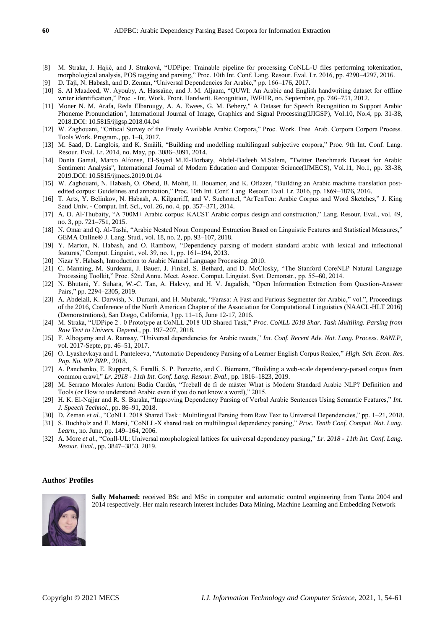- [8] M. Straka, J. Hajič, and J. Straková, "UDPipe: Trainable pipeline for processing CoNLL-U files performing tokenization, morphological analysis, POS tagging and parsing," Proc. 10th Int. Conf. Lang. Resour. Eval. Lr. 2016, pp. 4290–4297, 2016.
- [9] D. Taji, N. Habash, and D. Zeman, "Universal Dependencies for Arabic," pp. 166–176, 2017.
- [10] S. Al Maadeed, W. Ayouby, A. Hassaïne, and J. M. Aljaam, "QUWI: An Arabic and English handwriting dataset for offline writer identification," Proc. - Int. Work. Front. Handwrit. Recognition, IWFHR, no. September, pp. 746–751, 2012.
- [11] Moner N. M. Arafa, Reda Elbarougy, A. A. Ewees, G. M. Behery," A Dataset for Speech Recognition to Support Arabic Phoneme Pronunciation", International Journal of Image, Graphics and Signal Processing(IJIGSP), Vol.10, No.4, pp. 31-38, 2018.DOI: 10.5815/ijigsp.2018.04.04
- [12] W. Zaghouani, "Critical Survey of the Freely Available Arabic Corpora," Proc. Work. Free. Arab. Corpora Corpora Process. Tools Work. Program., pp. 1–8, 2017.
- [13] M. Saad, D. Langlois, and K. Smäili, "Building and modelling multilingual subjective corpora," Proc. 9th Int. Conf. Lang. Resour. Eval. Lr. 2014, no. May, pp. 3086–3091, 2014.
- [14] Donia Gamal, Marco Alfonse, El-Sayed M.El-Horbaty, Abdel-Badeeh M.Salem, "Twitter Benchmark Dataset for Arabic Sentiment Analysis", International Journal of Modern Education and Computer Science(IJMECS), Vol.11, No.1, pp. 33-38, 2019.DOI: 10.5815/ijmecs.2019.01.04
- [15] W. Zaghouani, N. Habash, O. Obeid, B. Mohit, H. Bouamor, and K. Oflazer, "Building an Arabic machine translation postedited corpus: Guidelines and annotation," Proc. 10th Int. Conf. Lang. Resour. Eval. Lr. 2016, pp. 1869–1876, 2016.
- [16] T. Arts, Y. Belinkov, N. Habash, A. Kilgarriff, and V. Suchomel, "ArTenTen: Arabic Corpus and Word Sketches," J. King Saud Univ. - Comput. Inf. Sci., vol. 26, no. 4, pp. 357–371, 2014.
- [17] A. O. Al-Thubaity, "A 700M+ Arabic corpus: KACST Arabic corpus design and construction," Lang. Resour. Eval., vol. 49, no. 3, pp. 721–751, 2015.
- [18] N. Omar and Q. Al-Tashi, "Arabic Nested Noun Compound Extraction Based on Linguistic Features and Statistical Measures," GEMA Online® J. Lang. Stud., vol. 18, no. 2, pp. 93–107, 2018.
- [19] Y. Marton, N. Habash, and O. Rambow, "Dependency parsing of modern standard arabic with lexical and inflectional features," Comput. Linguist., vol. 39, no. 1, pp. 161–194, 2013.
- [20] Nizar Y. Habash, Introduction to Arabic Natural Language Processing. 2010.
- [21] C. Manning, M. Surdeanu, J. Bauer, J. Finkel, S. Bethard, and D. McClosky, "The Stanford CoreNLP Natural Language Processing Toolkit," Proc. 52nd Annu. Meet. Assoc. Comput. Linguist. Syst. Demonstr., pp. 55–60, 2014.
- [22] N. Bhutani, Y. Suhara, W.-C. Tan, A. Halevy, and H. V. Jagadish, "Open Information Extraction from Question-Answer Pairs," pp. 2294–2305, 2019.
- [23] A. Abdelali, K. Darwish, N. Durrani, and H. Mubarak, "Farasa: A Fast and Furious Segmenter for Arabic," vol.", Proceedings of the 2016, Conference of the North American Chapter of the Association for Computational Linguistics (NAACL-HLT 2016) (Demonstrations), San Diego, California, J pp. 11–16, June 12-17, 2016.
- [24] M. Straka, "UDPipe 2 . 0 Prototype at CoNLL 2018 UD Shared Task," *Proc. CoNLL 2018 Shar. Task Multiling. Parsing from Raw Text to Univers. Depend.*, pp. 197–207, 2018.
- [25] F. Albogamy and A. Ramsay, "Universal dependencies for Arabic tweets," *Int. Conf. Recent Adv. Nat. Lang. Process. RANLP*, vol. 2017-Septe, pp. 46–51, 2017.
- [26] O. Lyashevkaya and I. Panteleeva, "Automatic Dependency Parsing of a Learner English Corpus Realec," *High. Sch. Econ. Res. Pap. No. WP BRP.*, 2018.
- [27] A. Panchenko, E. Ruppert, S. Faralli, S. P. Ponzetto, and C. Biemann, "Building a web-scale dependency-parsed corpus from common crawl," *Lr. 2018 - 11th Int. Conf. Lang. Resour. Eval.*, pp. 1816–1823, 2019.
- [28] M. Serrano Morales Antoni Badia Cardús, "Treball de fi de màster What is Modern Standard Arabic NLP? Definition and Tools (or How to understand Arabic even if you do not know a word)," 2015.
- [29] H. K. El-Najjar and R. S. Baraka, "Improving Dependency Parsing of Verbal Arabic Sentences Using Semantic Features," *Int. J. Speech Technol.*, pp. 86–91, 2018.
- [30] D. Zeman *et al.*, "CoNLL 2018 Shared Task : Multilingual Parsing from Raw Text to Universal Dependencies," pp. 1–21, 2018.
- [31] S. Buchholz and E. Marsi, "CoNLL-X shared task on multilingual dependency parsing," *Proc. Tenth Conf. Comput. Nat. Lang. Learn.*, no. June, pp. 149–164, 2006.
- [32] A. More *et al.*, "Conll-UL: Universal morphological lattices for universal dependency parsing," *Lr. 2018 - 11th Int. Conf. Lang. Resour. Eval.*, pp. 3847–3853, 2019.

#### **Authos' Profiles**



**Sally Mohamed:** received BSc and MSc in computer and automatic control engineering from Tanta 2004 and 2014 respectively. Her main research interest includes Data Mining, Machine Learning and Embedding Network